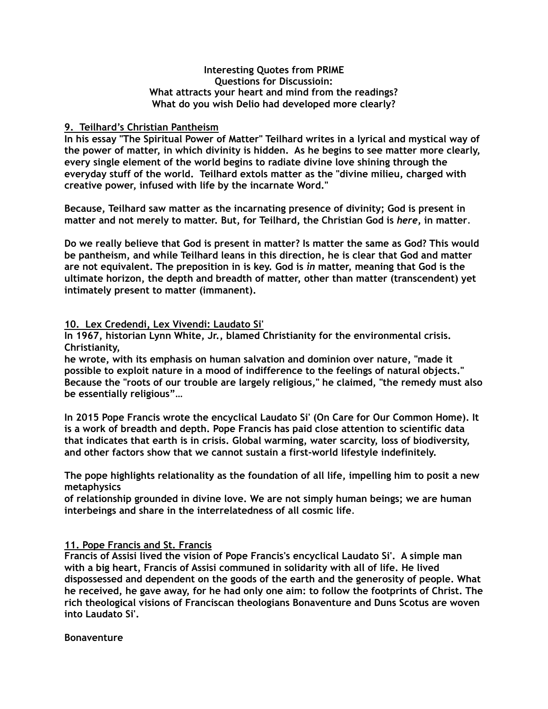### **Interesting Quotes from PRIME Questions for Discussioin: What attracts your heart and mind from the readings? What do you wish Delio had developed more clearly?**

# **9. Teilhard's Christian Pantheism**

**In his essay "The Spiritual Power of Matter" Teilhard writes in a lyrical and mystical way of the power of matter, in which divinity is hidden. As he begins to see matter more clearly, every single element of the world begins to radiate divine love shining through the everyday stuff of the world. Teilhard extols matter as the "divine milieu, charged with creative power, infused with life by the incarnate Word."** 

**Because, Teilhard saw matter as the incarnating presence of divinity; God is present in matter and not merely to matter. But, for Teilhard, the Christian God is** *here***, in matter**.

**Do we really believe that God is present in matter? Is matter the same as God? This would be pantheism, and while Teilhard leans in this direction, he is clear that God and matter are not equivalent. The preposition in is key. God is** *in* **matter, meaning that God is the ultimate horizon, the depth and breadth of matter, other than matter (transcendent) yet intimately present to matter (immanent).** 

### **10. Lex Credendi, Lex Vivendi: Laudato Si'**

**In 1967, historian Lynn White, Jr., blamed Christianity for the environmental crisis. Christianity,** 

**he wrote, with its emphasis on human salvation and dominion over nature, "made it possible to exploit nature in a mood of indifference to the feelings of natural objects." Because the "roots of our trouble are largely religious," he claimed, "the remedy must also be essentially religious"…** 

**In 2015 Pope Francis wrote the encyclical Laudato Si' (On Care for Our Common Home). It is a work of breadth and depth. Pope Francis has paid close attention to scientific data that indicates that earth is in crisis. Global warming, water scarcity, loss of biodiversity, and other factors show that we cannot sustain a first-world lifestyle indefinitely.** 

**The pope highlights relationality as the foundation of all life, impelling him to posit a new metaphysics** 

**of relationship grounded in divine love. We are not simply human beings; we are human interbeings and share in the interrelatedness of all cosmic life**.

### **11. Pope Francis and St. Francis**

**Francis of Assisi lived the vision of Pope Francis's encyclical Laudato Si'. A simple man with a big heart, Francis of Assisi communed in solidarity with all of life. He lived dispossessed and dependent on the goods of the earth and the generosity of people. What he received, he gave away, for he had only one aim: to follow the footprints of Christ. The rich theological visions of Franciscan theologians Bonaventure and Duns Scotus are woven into Laudato Si'.** 

### **Bonaventure**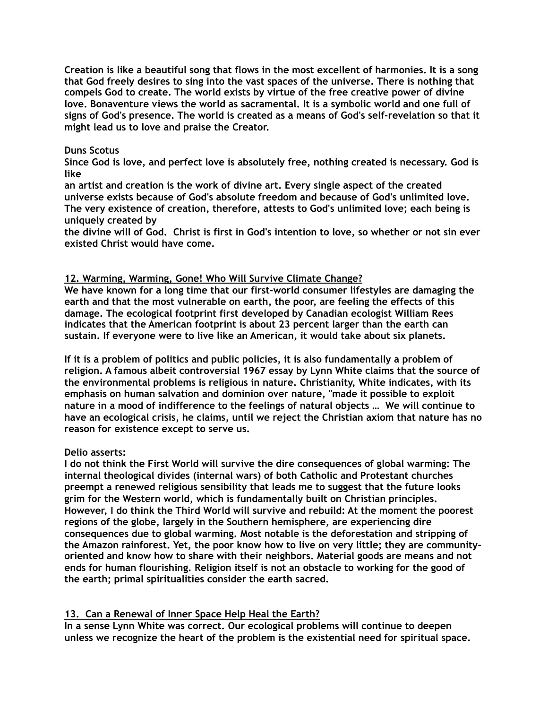**Creation is like a beautiful song that flows in the most excellent of harmonies. It is a song that God freely desires to sing into the vast spaces of the universe. There is nothing that compels God to create. The world exists by virtue of the free creative power of divine love. Bonaventure views the world as sacramental. It is a symbolic world and one full of signs of God's presence. The world is created as a means of God's self-revelation so that it might lead us to love and praise the Creator.** 

### **Duns Scotus**

**Since God is love, and perfect love is absolutely free, nothing created is necessary. God is like** 

**an artist and creation is the work of divine art. Every single aspect of the created universe exists because of God's absolute freedom and because of God's unlimited love. The very existence of creation, therefore, attests to God's unlimited love; each being is uniquely created by** 

**the divine will of God. Christ is first in God's intention to love, so whether or not sin ever existed Christ would have come.** 

## **12. Warming, Warming, Gone! Who Will Survive Climate Change?**

**We have known for a long time that our first-world consumer lifestyles are damaging the earth and that the most vulnerable on earth, the poor, are feeling the effects of this damage. The ecological footprint first developed by Canadian ecologist William Rees indicates that the American footprint is about 23 percent larger than the earth can sustain. If everyone were to live like an American, it would take about six planets.** 

**If it is a problem of politics and public policies, it is also fundamentally a problem of religion. A famous albeit controversial 1967 essay by Lynn White claims that the source of the environmental problems is religious in nature. Christianity, White indicates, with its emphasis on human salvation and dominion over nature, "made it possible to exploit nature in a mood of indifference to the feelings of natural objects … We will continue to have an ecological crisis, he claims, until we reject the Christian axiom that nature has no reason for existence except to serve us.** 

### **Delio asserts:**

**I do not think the First World will survive the dire consequences of global warming: The internal theological divides (internal wars) of both Catholic and Protestant churches preempt a renewed religious sensibility that leads me to suggest that the future looks grim for the Western world, which is fundamentally built on Christian principles. However, I do think the Third World will survive and rebuild: At the moment the poorest regions of the globe, largely in the Southern hemisphere, are experiencing dire consequences due to global warming. Most notable is the deforestation and stripping of the Amazon rainforest. Yet, the poor know how to live on very little; they are communityoriented and know how to share with their neighbors. Material goods are means and not ends for human flourishing. Religion itself is not an obstacle to working for the good of the earth; primal spiritualities consider the earth sacred.** 

### **13. Can a Renewal of Inner Space Help Heal the Earth?**

**In a sense Lynn White was correct. Our ecological problems will continue to deepen unless we recognize the heart of the problem is the existential need for spiritual space.**